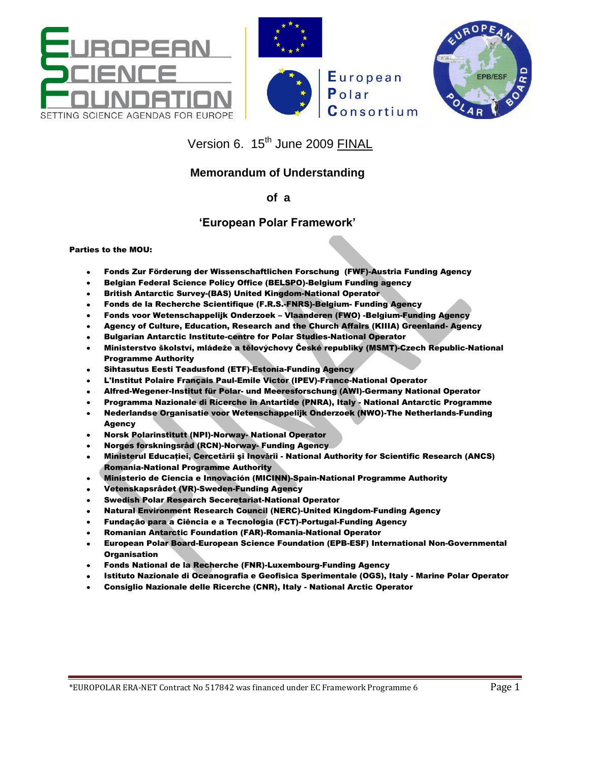







# Version 6. 15<sup>th</sup> June 2009 FINAL

# **Memorandum of Understanding**

#### **of a** set of a set of  $\alpha$

## **'European Polar Framework'**

#### Parties to the MOU:

- Fonds Zur Förderung der Wissenschaftlichen Forschung (FWF)-Austria Funding Agency
- Belgian Federal Science Policy Office (BELSPO)-Belgium Funding agency
- British Antarctic Survey-(BAS) United Kingdom-National Operator
- Fonds de la Recherche Scientifique (F.R.S.-FNRS)-Belgium- Funding Agency
- Fonds voor Wetenschappelijk Onderzoek Vlaanderen (FWO) -Belgium-Funding Agency
- Agency of Culture, Education, Research and the Church Affairs (KIIIA) Greenland- Agency
- Bulgarian Antarctic Institute-centre for Polar Studies-National Operator
- Ministerstvo školství, mládeže a tělovýchovy České republiky (MSMT)-Czech Republic-National Programme Authority
- Sihtasutus Eesti Teadusfond (ETF)-Estonia-Funding Agency
- L'Institut Polaire Français Paul-Emile Victor (IPEV)-France-National Operator
- Alfred-Wegener-Institut für Polar- und Meeresforschung (AWI)-Germany National Operator
- Programma Nazionale di Ricerche in Antartide (PNRA), Italy National Antarctic Programme
- Nederlandse Organisatie voor Wetenschappelijk Onderzoek (NWO)-The Netherlands-Funding Agency
- [Norsk Polarinstitutt](http://npweb.npolar.no/organisasjon/norskpolarinstitutt) (NPI)-Norway- National Operator
- Norges forskningsråd (RCN)-Norway- Funding Agency
- Ministerul Educaţiei, Cercet**ǎ**rii şi Inov**ǎ**rii National Authority for Scientific Research (ANCS) Romania-National Programme Authority
- Ministerio de Ciencia e Innovación (MICINN)-Spain-National Programme Authority
- Vetenskapsrådet (VR)-Sweden-Funding Agency
- Swedish Polar Research Seceretariat-National Operator
- Natural Environment Research Council (NERC)-United Kingdom-Funding Agency
- Fundação para a Ciência e a Tecnologia (FCT)-Portugal-Funding Agency
- Romanian Antarctic Foundation (FAR)-Romania-National Operator
- European Polar Board-European Science Foundation (EPB-ESF) International Non-Governmental **Organisation**
- Fonds National de la Recherche (FNR)-Luxembourg-Funding Agency
- Istituto Nazionale di Oceanografia e Geofisica Sperimentale (OGS), Italy Marine Polar Operator
- Consiglio Nazionale delle Ricerche (CNR), Italy National Arctic Operator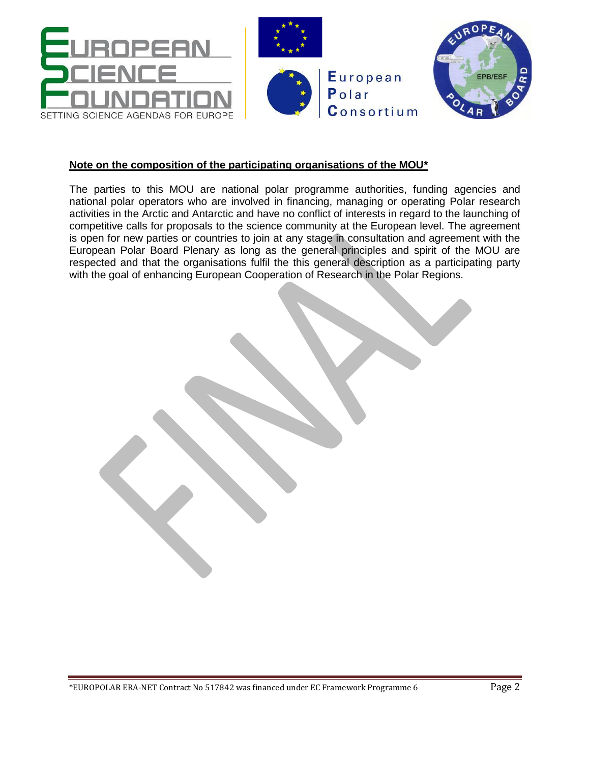







#### **Note on the composition of the participating organisations of the MOU\***

The parties to this MOU are national polar programme authorities, funding agencies and national polar operators who are involved in financing, managing or operating Polar research activities in the Arctic and Antarctic and have no conflict of interests in regard to the launching of competitive calls for proposals to the science community at the European level. The agreement is open for new parties or countries to join at any stage in consultation and agreement with the European Polar Board Plenary as long as the general principles and spirit of the MOU are respected and that the organisations fulfil the this general description as a participating party with the goal of enhancing European Cooperation of Research in the Polar Regions.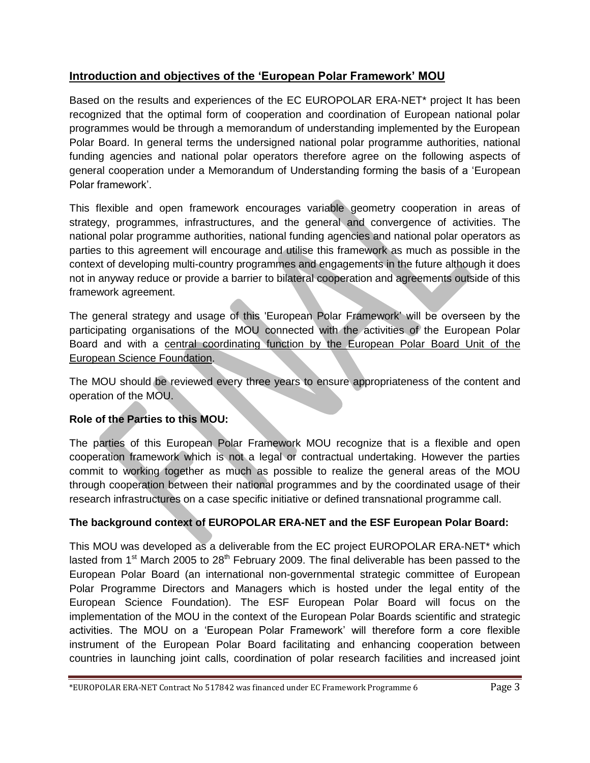# **Introduction and objectives of the 'European Polar Framework' MOU**

Based on the results and experiences of the EC EUROPOLAR ERA-NET\* project It has been recognized that the optimal form of cooperation and coordination of European national polar programmes would be through a memorandum of understanding implemented by the European Polar Board. In general terms the undersigned national polar programme authorities, national funding agencies and national polar operators therefore agree on the following aspects of general cooperation under a Memorandum of Understanding forming the basis of a 'European Polar framework'.

This flexible and open framework encourages variable geometry cooperation in areas of strategy, programmes, infrastructures, and the general and convergence of activities. The national polar programme authorities, national funding agencies and national polar operators as parties to this agreement will encourage and utilise this framework as much as possible in the context of developing multi-country programmes and engagements in the future although it does not in anyway reduce or provide a barrier to bilateral cooperation and agreements outside of this framework agreement.

The general strategy and usage of this 'European Polar Framework' will be overseen by the participating organisations of the MOU connected with the activities of the European Polar Board and with a central coordinating function by the European Polar Board Unit of the European Science Foundation.

The MOU should be reviewed every three years to ensure appropriateness of the content and operation of the MOU.

### **Role of the Parties to this MOU:**

The parties of this European Polar Framework MOU recognize that is a flexible and open cooperation framework which is not a legal or contractual undertaking. However the parties commit to working together as much as possible to realize the general areas of the MOU through cooperation between their national programmes and by the coordinated usage of their research infrastructures on a case specific initiative or defined transnational programme call.

# **The background context of EUROPOLAR ERA-NET and the ESF European Polar Board:**

This MOU was developed as a deliverable from the EC project EUROPOLAR ERA-NET\* which lasted from  $1<sup>st</sup>$  March 2005 to 28<sup>th</sup> February 2009. The final deliverable has been passed to the European Polar Board (an international non-governmental strategic committee of European Polar Programme Directors and Managers which is hosted under the legal entity of the European Science Foundation). The ESF European Polar Board will focus on the implementation of the MOU in the context of the European Polar Boards scientific and strategic activities. The MOU on a 'European Polar Framework' will therefore form a core flexible instrument of the European Polar Board facilitating and enhancing cooperation between countries in launching joint calls, coordination of polar research facilities and increased joint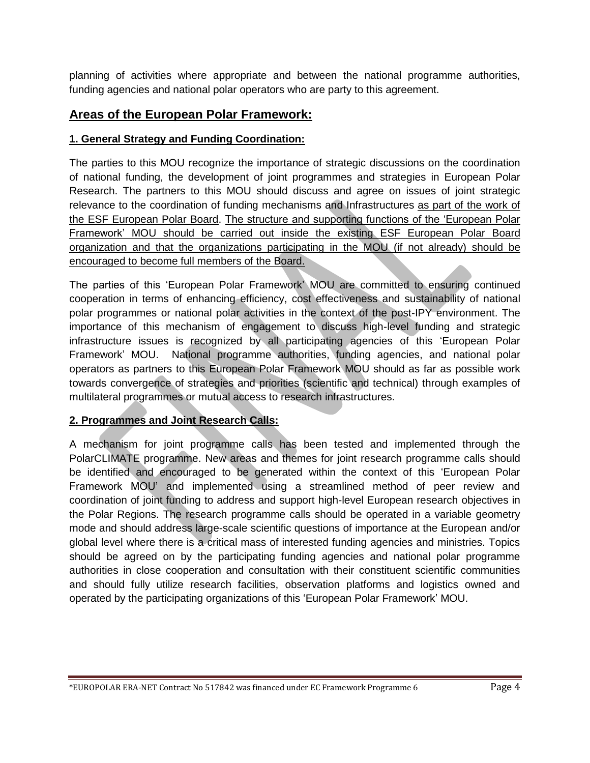planning of activities where appropriate and between the national programme authorities, funding agencies and national polar operators who are party to this agreement.

# **Areas of the European Polar Framework:**

#### **1. General Strategy and Funding Coordination:**

The parties to this MOU recognize the importance of strategic discussions on the coordination of national funding, the development of joint programmes and strategies in European Polar Research. The partners to this MOU should discuss and agree on issues of joint strategic relevance to the coordination of funding mechanisms and Infrastructures as part of the work of the ESF European Polar Board. The structure and supporting functions of the 'European Polar Framework' MOU should be carried out inside the existing ESF European Polar Board organization and that the organizations participating in the MOU (if not already) should be encouraged to become full members of the Board.

The parties of this 'European Polar Framework' MOU are committed to ensuring continued cooperation in terms of enhancing efficiency, cost effectiveness and sustainability of national polar programmes or national polar activities in the context of the post-IPY environment. The importance of this mechanism of engagement to discuss high-level funding and strategic infrastructure issues is recognized by all participating agencies of this 'European Polar Framework' MOU. National programme authorities, funding agencies, and national polar operators as partners to this European Polar Framework MOU should as far as possible work towards convergence of strategies and priorities (scientific and technical) through examples of multilateral programmes or mutual access to research infrastructures.

### **2. Programmes and Joint Research Calls:**

A mechanism for joint programme calls has been tested and implemented through the PolarCLIMATE programme. New areas and themes for joint research programme calls should be identified and encouraged to be generated within the context of this 'European Polar Framework MOU' and implemented using a streamlined method of peer review and coordination of joint funding to address and support high-level European research objectives in the Polar Regions. The research programme calls should be operated in a variable geometry mode and should address large-scale scientific questions of importance at the European and/or global level where there is a critical mass of interested funding agencies and ministries. Topics should be agreed on by the participating funding agencies and national polar programme authorities in close cooperation and consultation with their constituent scientific communities and should fully utilize research facilities, observation platforms and logistics owned and operated by the participating organizations of this 'European Polar Framework' MOU.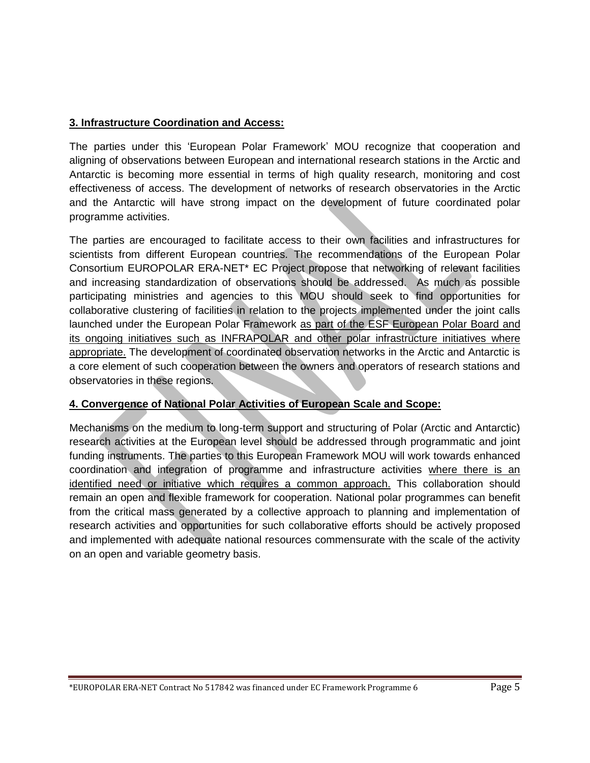#### **3. Infrastructure Coordination and Access:**

The parties under this 'European Polar Framework' MOU recognize that cooperation and aligning of observations between European and international research stations in the Arctic and Antarctic is becoming more essential in terms of high quality research, monitoring and cost effectiveness of access. The development of networks of research observatories in the Arctic and the Antarctic will have strong impact on the development of future coordinated polar programme activities.

The parties are encouraged to facilitate access to their own facilities and infrastructures for scientists from different European countries. The recommendations of the European Polar Consortium EUROPOLAR ERA-NET\* EC Project propose that networking of relevant facilities and increasing standardization of observations should be addressed. As much as possible participating ministries and agencies to this MOU should seek to find opportunities for collaborative clustering of facilities in relation to the projects implemented under the joint calls launched under the European Polar Framework as part of the ESF European Polar Board and its ongoing initiatives such as INFRAPOLAR and other polar infrastructure initiatives where appropriate. The development of coordinated observation networks in the Arctic and Antarctic is a core element of such cooperation between the owners and operators of research stations and observatories in these regions.

### **4. Convergence of National Polar Activities of European Scale and Scope:**

Mechanisms on the medium to long-term support and structuring of Polar (Arctic and Antarctic) research activities at the European level should be addressed through programmatic and joint funding instruments. The parties to this European Framework MOU will work towards enhanced coordination and integration of programme and infrastructure activities where there is an identified need or initiative which requires a common approach. This collaboration should remain an open and flexible framework for cooperation. National polar programmes can benefit from the critical mass generated by a collective approach to planning and implementation of research activities and opportunities for such collaborative efforts should be actively proposed and implemented with adequate national resources commensurate with the scale of the activity on an open and variable geometry basis.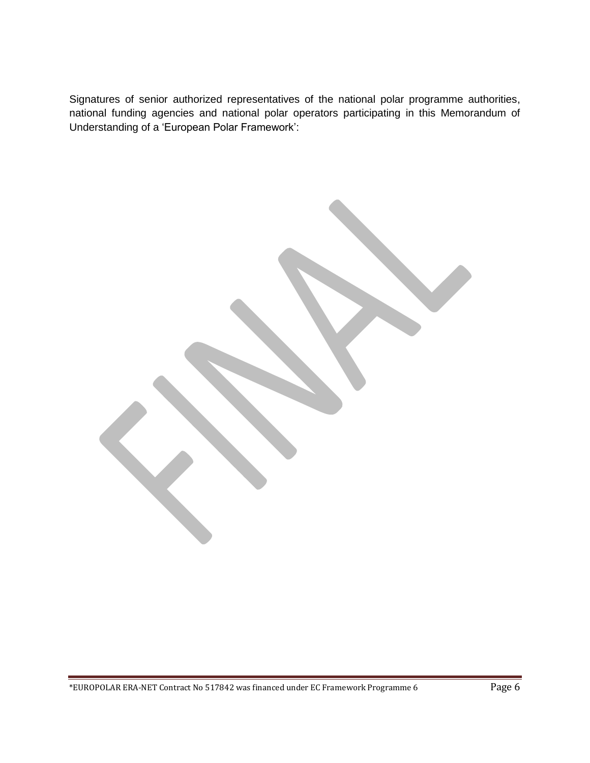Signatures of senior authorized representatives of the national polar programme authorities, national funding agencies and national polar operators participating in this Memorandum of Understanding of a 'European Polar Framework':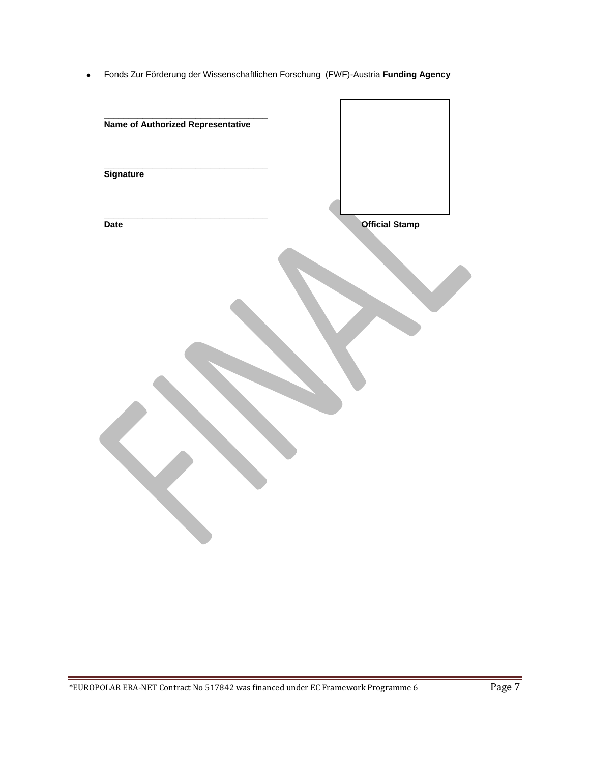Fonds Zur Förderung der Wissenschaftlichen Forschung (FWF)-Austria **Funding Agency**

 $\blacksquare$ 

۳

| Name of Authorized Representative |                       |  |
|-----------------------------------|-----------------------|--|
|                                   |                       |  |
|                                   |                       |  |
| Signature                         |                       |  |
|                                   |                       |  |
|                                   |                       |  |
| <b>Date</b>                       | <b>Official Stamp</b> |  |
|                                   |                       |  |
|                                   |                       |  |
|                                   |                       |  |
|                                   |                       |  |
|                                   |                       |  |
|                                   |                       |  |
|                                   |                       |  |
|                                   |                       |  |
|                                   |                       |  |
|                                   |                       |  |
|                                   |                       |  |
|                                   |                       |  |
|                                   |                       |  |
|                                   |                       |  |
|                                   |                       |  |
|                                   |                       |  |
|                                   |                       |  |
|                                   |                       |  |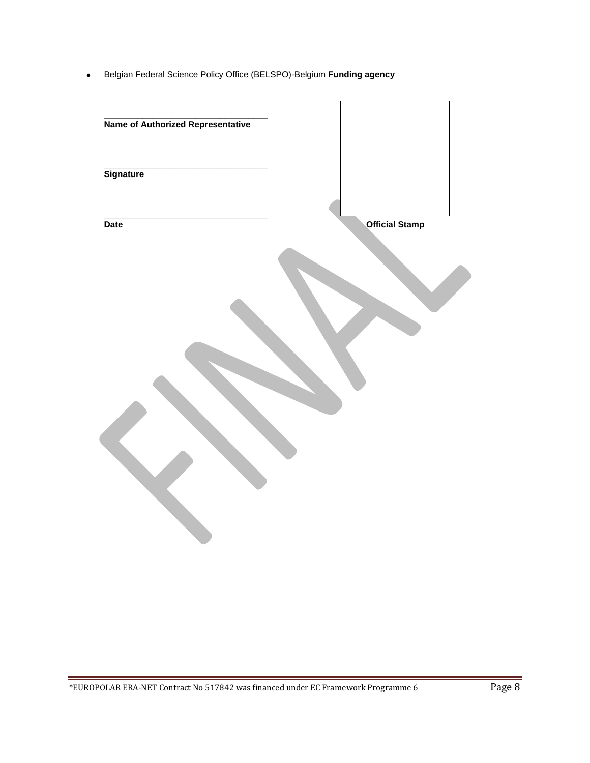Belgian Federal Science Policy Office (BELSPO)-Belgium **Funding agency**

| Name of Authorized Representative |                       |
|-----------------------------------|-----------------------|
|                                   |                       |
| Signature                         |                       |
|                                   |                       |
|                                   |                       |
| <b>Date</b>                       | <b>Official Stamp</b> |
|                                   |                       |
|                                   |                       |
|                                   |                       |
|                                   |                       |
|                                   |                       |
|                                   |                       |
|                                   |                       |
|                                   |                       |
|                                   |                       |
|                                   |                       |
|                                   |                       |
|                                   |                       |
|                                   |                       |
|                                   |                       |
|                                   |                       |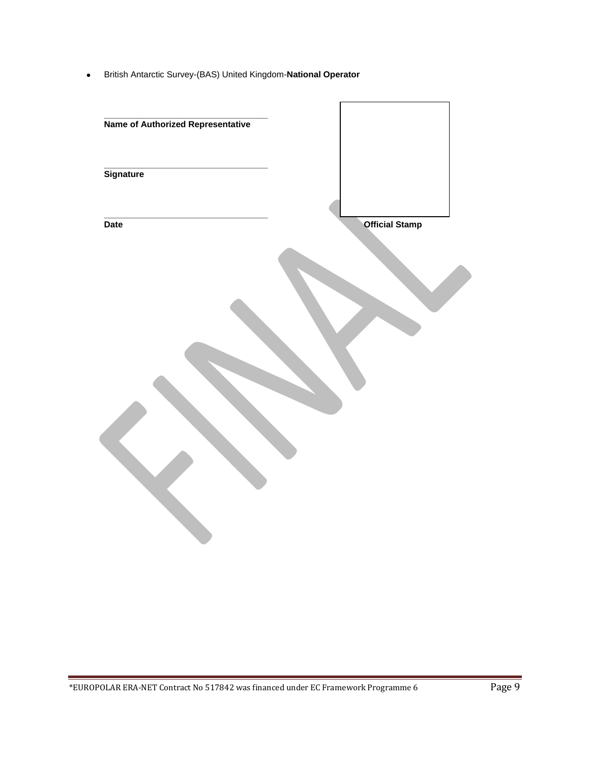British Antarctic Survey-(BAS) United Kingdom-**National Operator**

| Name of Authorized Representative |                       |
|-----------------------------------|-----------------------|
|                                   |                       |
| <b>Signature</b>                  |                       |
|                                   |                       |
|                                   |                       |
| Date                              | <b>Official Stamp</b> |
|                                   |                       |
|                                   |                       |
|                                   |                       |
|                                   |                       |
|                                   |                       |
|                                   |                       |
|                                   |                       |
|                                   |                       |
|                                   |                       |
|                                   |                       |
|                                   |                       |
|                                   |                       |
|                                   |                       |
|                                   |                       |
|                                   |                       |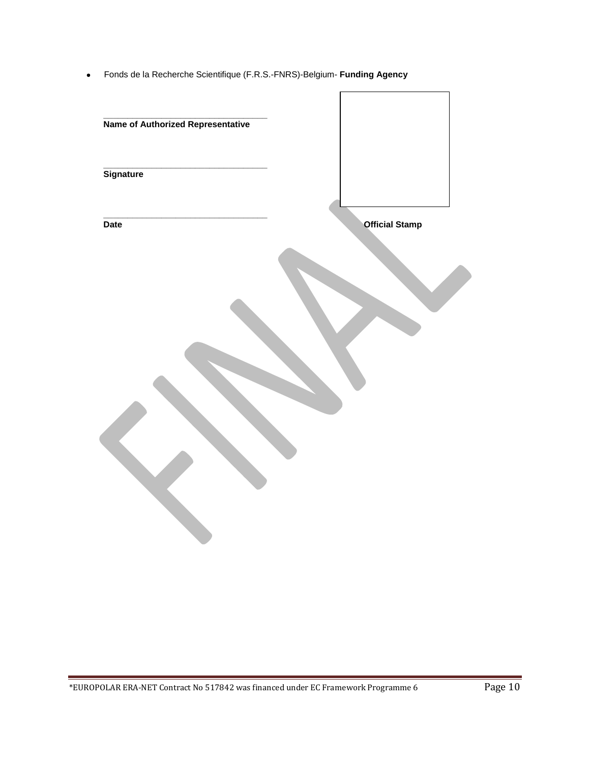Fonds de la Recherche Scientifique (F.R.S.-FNRS)-Belgium- **Funding Agency**

| Name of Authorized Representative |                       |
|-----------------------------------|-----------------------|
|                                   |                       |
| <b>Signature</b>                  |                       |
| Date                              | <b>Official Stamp</b> |
|                                   |                       |
|                                   |                       |
|                                   |                       |
|                                   |                       |
|                                   |                       |
|                                   |                       |
|                                   |                       |
|                                   |                       |
|                                   |                       |
|                                   |                       |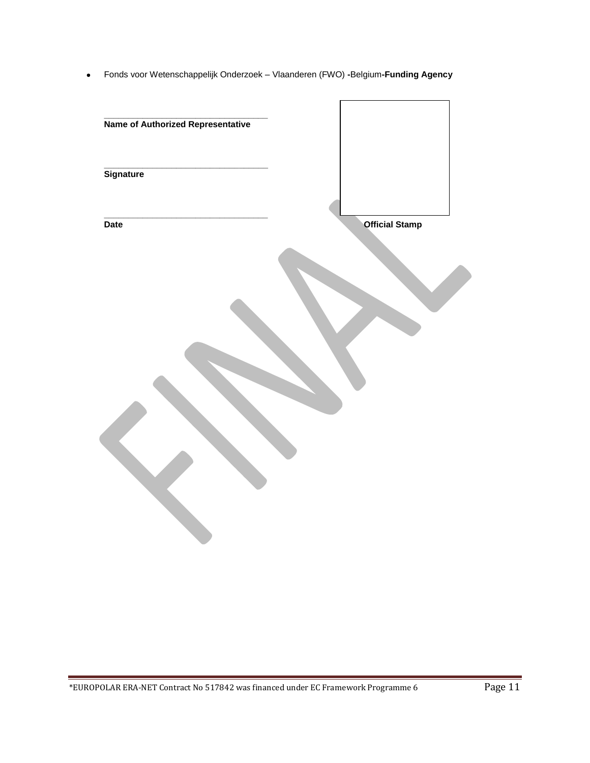Fonds voor Wetenschappelijk Onderzoek – Vlaanderen (FWO) **-**Belgium**-Funding Agency**

| Name of Authorized Representative |                       |
|-----------------------------------|-----------------------|
|                                   |                       |
| <b>Signature</b>                  |                       |
|                                   |                       |
|                                   |                       |
| <b>Date</b>                       | <b>Official Stamp</b> |
|                                   |                       |
|                                   |                       |
|                                   |                       |
|                                   |                       |
|                                   |                       |
|                                   |                       |
|                                   |                       |
|                                   |                       |
|                                   |                       |
|                                   |                       |
|                                   |                       |
|                                   |                       |
|                                   |                       |
|                                   |                       |
|                                   |                       |
|                                   |                       |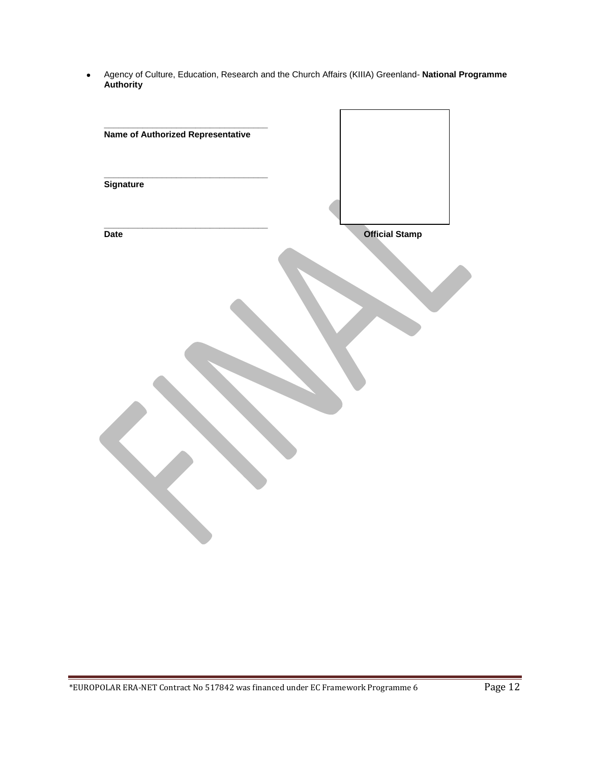$\bullet$ Agency of Culture, Education, Research and the Church Affairs (KIIIA) Greenland- **National Programme Authority**

| Name of Authorized Representative |                       |  |
|-----------------------------------|-----------------------|--|
|                                   |                       |  |
|                                   |                       |  |
| <b>Signature</b>                  |                       |  |
|                                   |                       |  |
| <b>Date</b>                       | <b>Official Stamp</b> |  |
|                                   |                       |  |
|                                   |                       |  |
|                                   |                       |  |
|                                   |                       |  |
|                                   |                       |  |
|                                   |                       |  |
|                                   |                       |  |
|                                   |                       |  |
|                                   |                       |  |
|                                   |                       |  |
|                                   |                       |  |
|                                   |                       |  |
|                                   |                       |  |
|                                   |                       |  |
|                                   |                       |  |
|                                   |                       |  |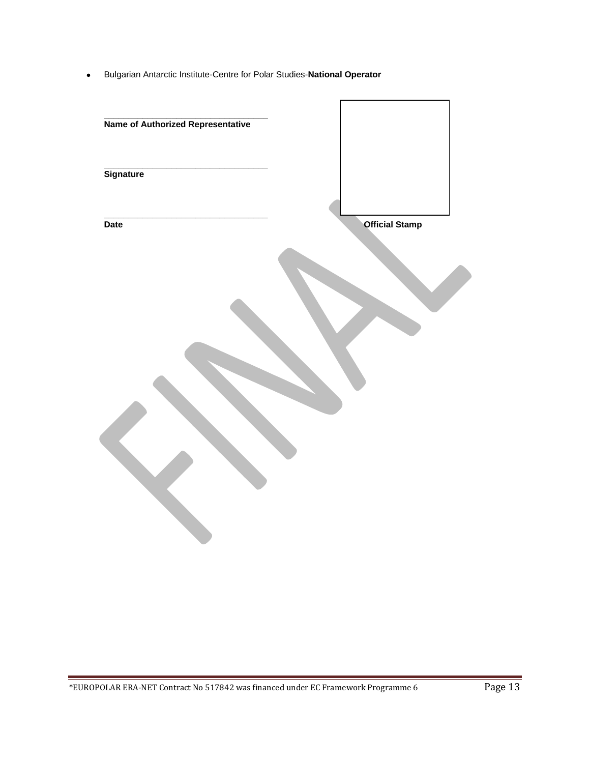Bulgarian Antarctic Institute-Centre for Polar Studies-**National Operator**  $\bullet$ 

| Name of Authorized Representative |                       |
|-----------------------------------|-----------------------|
|                                   |                       |
| <b>Signature</b>                  |                       |
|                                   |                       |
| Date                              | <b>Official Stamp</b> |
|                                   |                       |
|                                   |                       |
|                                   |                       |
|                                   |                       |
|                                   |                       |
|                                   |                       |
|                                   |                       |
|                                   |                       |
|                                   |                       |
|                                   |                       |
|                                   |                       |
|                                   |                       |
|                                   |                       |

ċ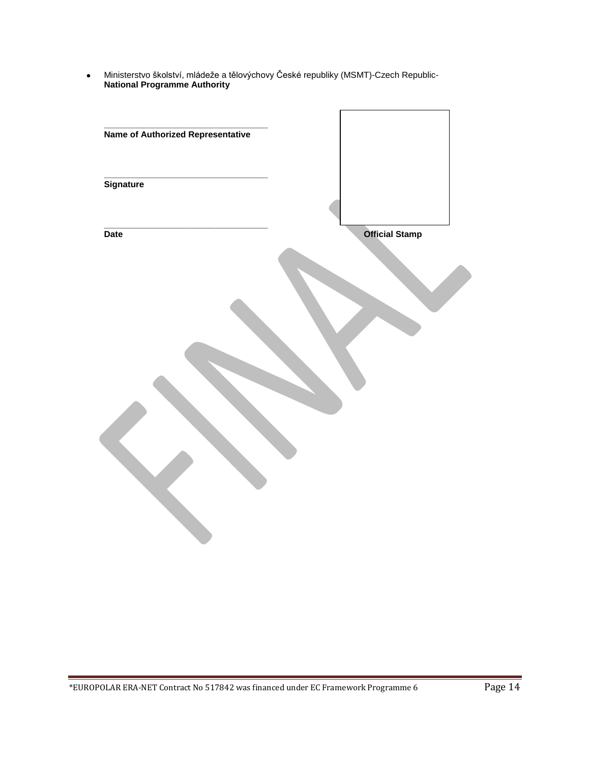$\bullet$ Ministerstvo školství, mládeže a tělovýchovy České republiky (MSMT)-Czech Republic-**National Programme Authority**

| Name of Authorized Representative |                       |  |
|-----------------------------------|-----------------------|--|
|                                   |                       |  |
| Signature                         |                       |  |
|                                   |                       |  |
| <b>Date</b>                       | <b>Official Stamp</b> |  |
|                                   |                       |  |
|                                   |                       |  |
|                                   |                       |  |
|                                   |                       |  |
|                                   |                       |  |
|                                   |                       |  |
|                                   |                       |  |
|                                   |                       |  |
|                                   |                       |  |
|                                   |                       |  |
|                                   |                       |  |
|                                   |                       |  |
|                                   |                       |  |
|                                   |                       |  |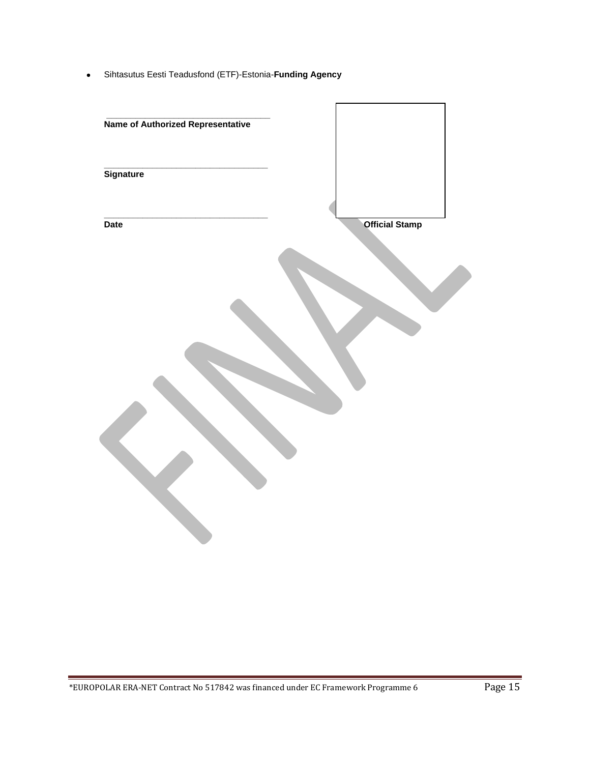Sihtasutus Eesti Teadusfond (ETF)-Estonia-**Funding Agency**

| Name of Authorized Representative |                       |
|-----------------------------------|-----------------------|
|                                   |                       |
| <b>Signature</b>                  |                       |
|                                   |                       |
| <b>Date</b>                       | <b>Official Stamp</b> |
|                                   |                       |
|                                   |                       |
|                                   |                       |
|                                   |                       |
|                                   |                       |
|                                   |                       |
|                                   |                       |
|                                   |                       |
|                                   |                       |
|                                   |                       |
|                                   |                       |
|                                   |                       |
|                                   |                       |
|                                   |                       |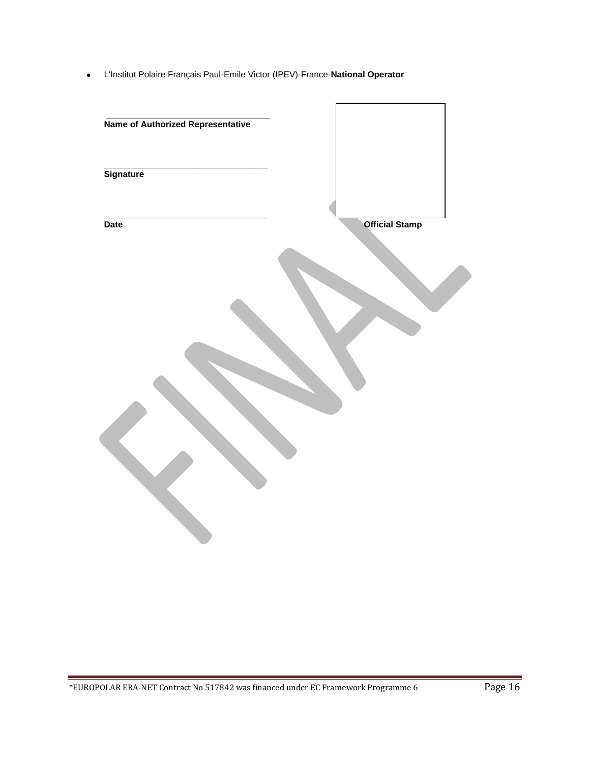L'Institut Polaire Français Paul-Emile Victor (IPEV)-France-**National Operator**

| Name of Authorized Representative |                       |
|-----------------------------------|-----------------------|
|                                   |                       |
| <b>Signature</b>                  |                       |
|                                   |                       |
|                                   |                       |
| <b>Date</b>                       | <b>Official Stamp</b> |
|                                   |                       |
|                                   |                       |
|                                   |                       |
|                                   |                       |
|                                   |                       |
|                                   |                       |
|                                   |                       |
|                                   |                       |
|                                   |                       |
|                                   |                       |
|                                   |                       |
|                                   |                       |
|                                   |                       |
|                                   |                       |
|                                   |                       |
|                                   |                       |
|                                   |                       |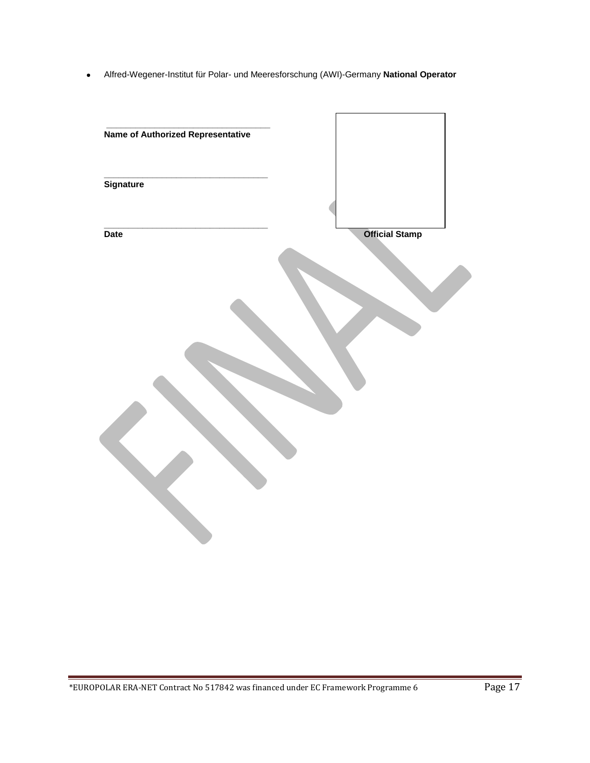Alfred-Wegener-Institut für Polar- und Meeresforschung (AWI)-Germany **National Operator**

| <b>Name of Authorized Representative</b> |                       |  |
|------------------------------------------|-----------------------|--|
|                                          |                       |  |
| Signature                                |                       |  |
|                                          |                       |  |
|                                          |                       |  |
| <b>Date</b>                              | <b>Official Stamp</b> |  |
|                                          |                       |  |
|                                          |                       |  |
|                                          |                       |  |
|                                          |                       |  |
|                                          |                       |  |
|                                          |                       |  |
|                                          |                       |  |
|                                          |                       |  |
|                                          |                       |  |
|                                          |                       |  |
|                                          |                       |  |
|                                          |                       |  |
|                                          |                       |  |
|                                          |                       |  |
|                                          |                       |  |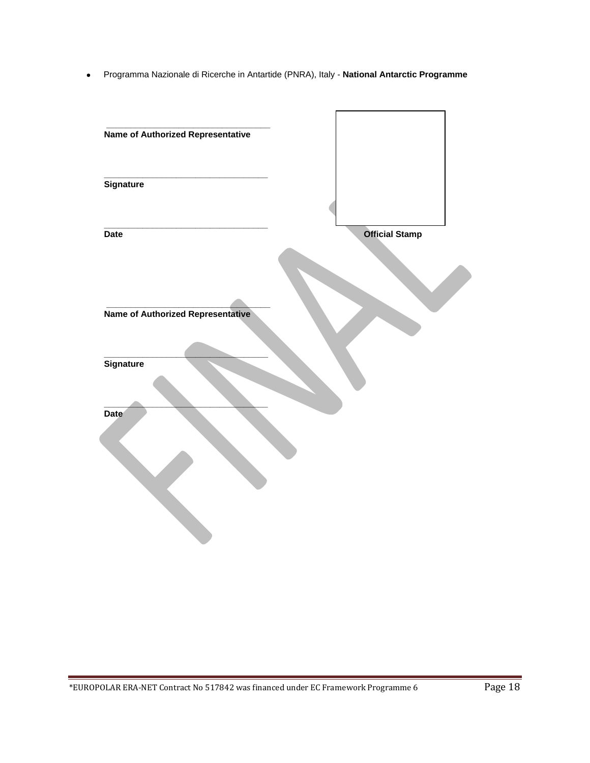Programma Nazionale di Ricerche in Antartide (PNRA), Italy - **National Antarctic Programme**  $\bullet$ 

| Name of Authorized Representative |                       |
|-----------------------------------|-----------------------|
|                                   |                       |
|                                   |                       |
| <b>Signature</b>                  |                       |
|                                   |                       |
| <b>Date</b>                       | <b>Official Stamp</b> |
|                                   |                       |
|                                   |                       |
|                                   |                       |
| Name of Authorized Representative |                       |
|                                   |                       |
|                                   |                       |
| Signature                         |                       |
|                                   |                       |
| Date                              |                       |
|                                   |                       |
|                                   |                       |
|                                   |                       |
|                                   |                       |
|                                   |                       |
|                                   |                       |
|                                   |                       |
|                                   |                       |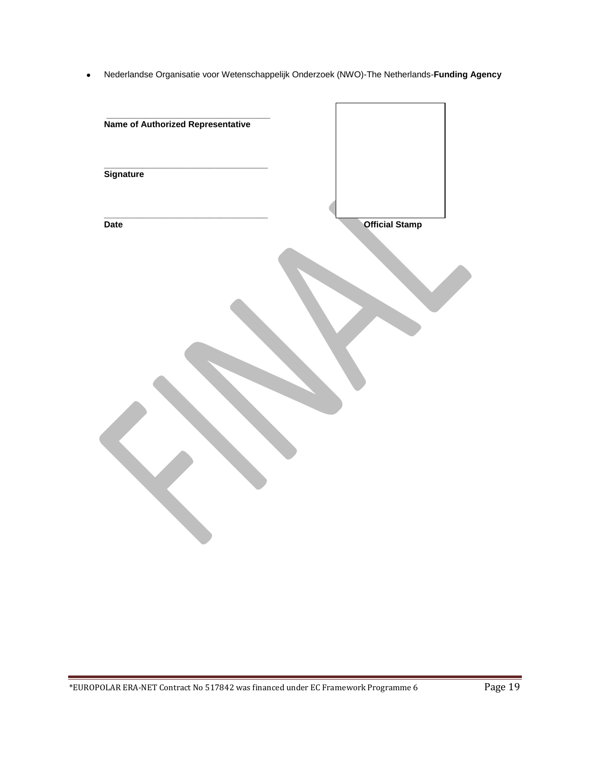Nederlandse Organisatie voor Wetenschappelijk Onderzoek (NWO)-The Netherlands-**Funding Agency**  $\bullet$ 

| Name of Authorized Representative<br><b>Signature</b><br><b>Official Stamp</b><br><b>Date</b> |
|-----------------------------------------------------------------------------------------------|
|                                                                                               |
|                                                                                               |
|                                                                                               |
|                                                                                               |
|                                                                                               |
|                                                                                               |
|                                                                                               |
|                                                                                               |
|                                                                                               |
|                                                                                               |
|                                                                                               |
|                                                                                               |
|                                                                                               |
|                                                                                               |
|                                                                                               |
|                                                                                               |
|                                                                                               |
|                                                                                               |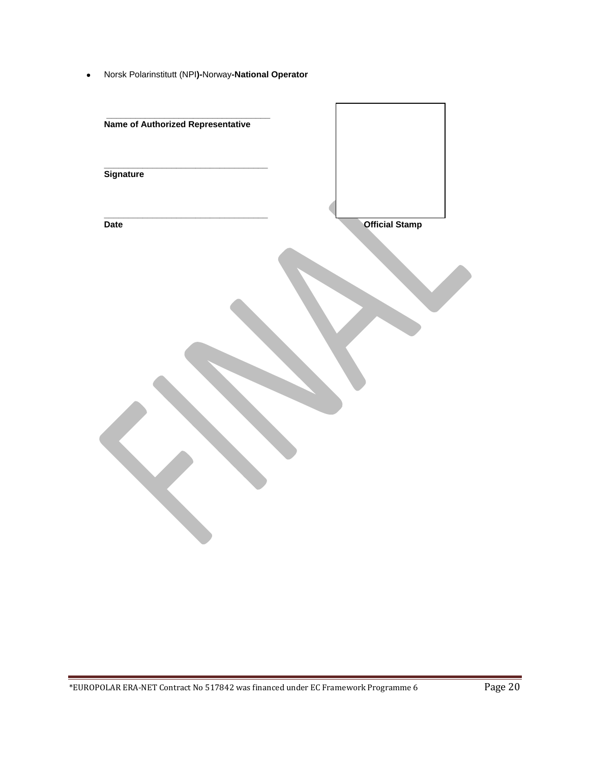[Norsk Polarinstitutt](http://npweb.npolar.no/organisasjon/norskpolarinstitutt) (NPI**)-**Norway**-National Operator**

| Name of Authorized Representative |                       |
|-----------------------------------|-----------------------|
|                                   |                       |
| <b>Signature</b>                  |                       |
|                                   |                       |
| <b>Date</b>                       | <b>Official Stamp</b> |
|                                   |                       |
|                                   |                       |
|                                   |                       |
|                                   |                       |
|                                   |                       |
|                                   |                       |
|                                   |                       |
|                                   |                       |
|                                   |                       |
|                                   |                       |
|                                   |                       |
|                                   |                       |
|                                   |                       |
|                                   |                       |
|                                   |                       |
|                                   |                       |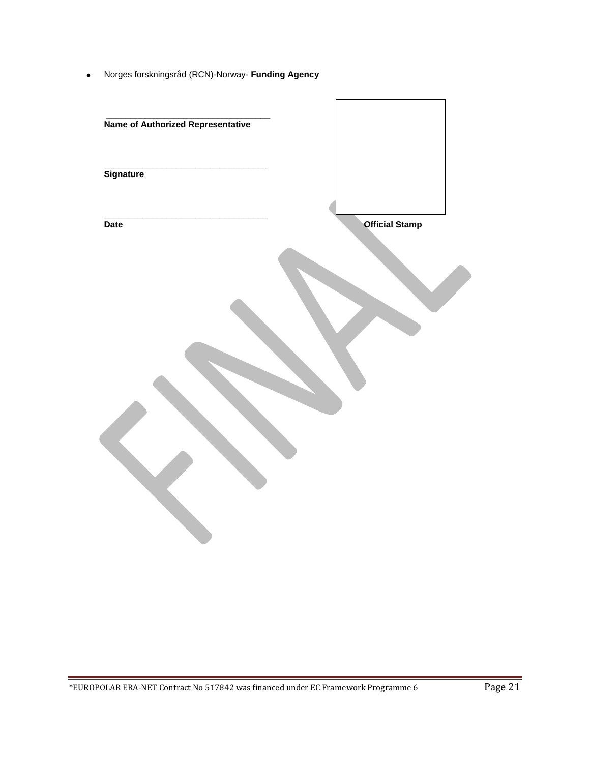Norges forskningsråd (RCN)-Norway- **Funding Agency**

| Name of Authorized Representative |                       |
|-----------------------------------|-----------------------|
|                                   |                       |
| <b>Signature</b>                  |                       |
|                                   |                       |
| <b>Date</b>                       | <b>Official Stamp</b> |
|                                   |                       |
|                                   |                       |
|                                   |                       |
|                                   |                       |
|                                   |                       |
|                                   |                       |
|                                   |                       |
|                                   |                       |
|                                   |                       |
|                                   |                       |
|                                   |                       |
|                                   |                       |
|                                   |                       |
|                                   |                       |

**r**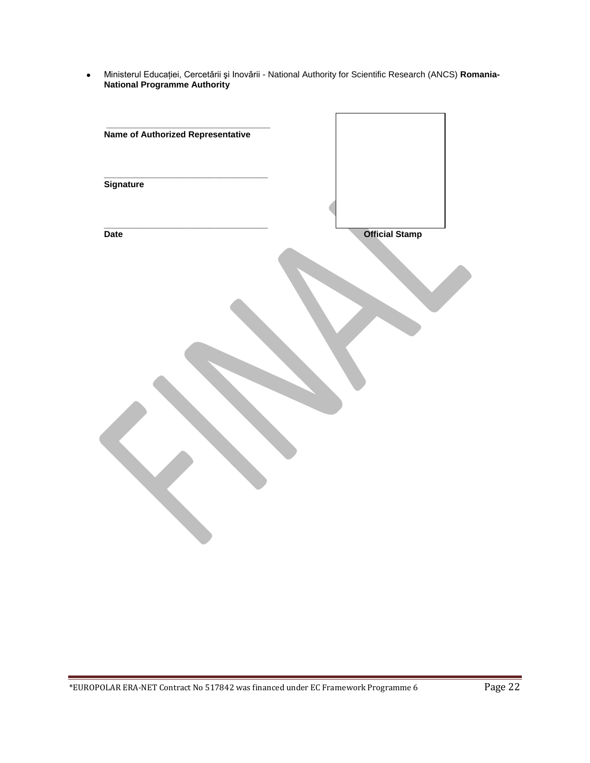$\bullet$ Ministerul Educaţiei, Cercetǎrii şi Inovǎrii - National Authority for Scientific Research (ANCS) **Romania-National Programme Authority**

| Name of Authorized Representative |                       |  |
|-----------------------------------|-----------------------|--|
|                                   |                       |  |
| <b>Signature</b>                  |                       |  |
|                                   |                       |  |
| <b>Date</b>                       | <b>Official Stamp</b> |  |
|                                   |                       |  |
|                                   |                       |  |
|                                   |                       |  |
|                                   |                       |  |
|                                   |                       |  |
|                                   |                       |  |
|                                   |                       |  |
|                                   |                       |  |
|                                   |                       |  |
|                                   |                       |  |
|                                   |                       |  |
|                                   |                       |  |
|                                   |                       |  |
|                                   |                       |  |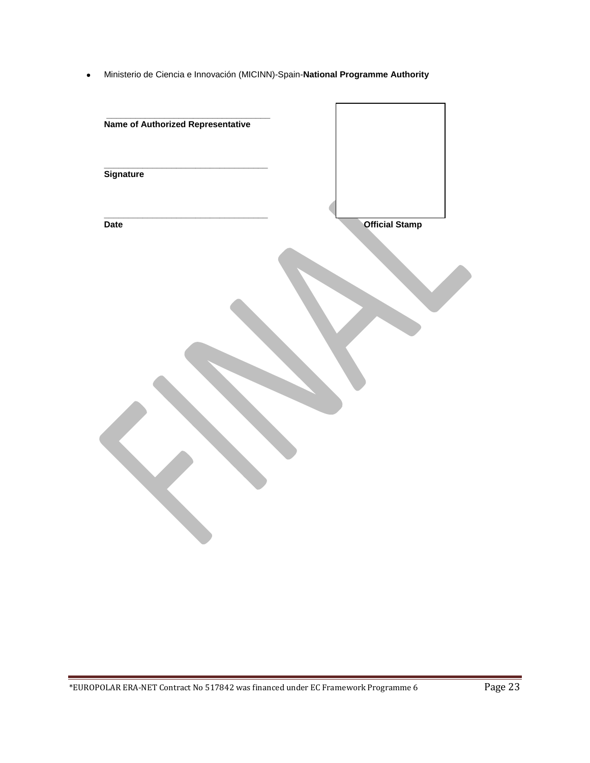Ministerio de Ciencia e Innovación (MICINN)-Spain-**National Programme Authority**  $\bullet$ 

| Name of Authorized Representative |                       |
|-----------------------------------|-----------------------|
|                                   |                       |
| <b>Signature</b>                  |                       |
|                                   |                       |
| <b>Date</b>                       | <b>Official Stamp</b> |
|                                   |                       |
|                                   |                       |
|                                   |                       |
|                                   |                       |
|                                   |                       |
|                                   |                       |
|                                   |                       |
|                                   |                       |
|                                   |                       |
|                                   |                       |
|                                   |                       |
|                                   |                       |
|                                   |                       |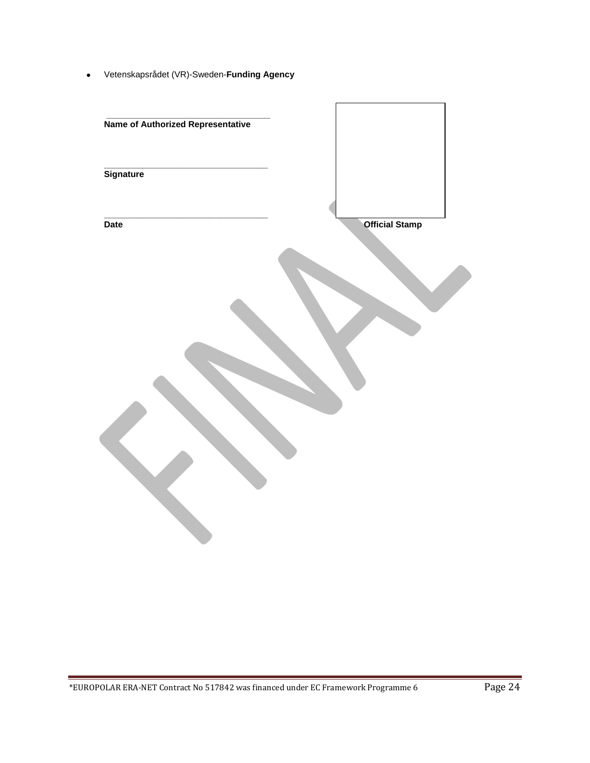Vetenskapsrådet (VR)-Sweden-**Funding Agency**

| Name of Authorized Representative |                       |
|-----------------------------------|-----------------------|
|                                   |                       |
| <b>Signature</b>                  |                       |
|                                   |                       |
|                                   |                       |
| Date                              | <b>Official Stamp</b> |
|                                   |                       |
|                                   |                       |
|                                   |                       |
|                                   |                       |
|                                   |                       |
|                                   |                       |
|                                   |                       |
|                                   |                       |
|                                   |                       |
|                                   |                       |
|                                   |                       |
|                                   |                       |
|                                   |                       |
|                                   |                       |
|                                   |                       |
|                                   |                       |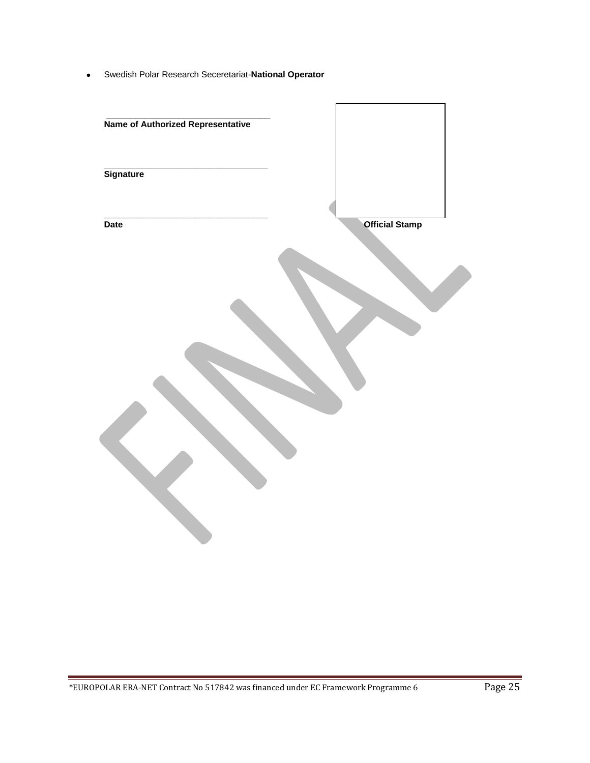Swedish Polar Research Seceretariat-**National Operator**

| Name of Authorized Representative |                       |
|-----------------------------------|-----------------------|
|                                   |                       |
| <b>Signature</b>                  |                       |
| Date                              | <b>Official Stamp</b> |
|                                   |                       |
|                                   |                       |
|                                   |                       |
|                                   |                       |
|                                   |                       |
|                                   |                       |
|                                   |                       |
|                                   |                       |
|                                   |                       |
|                                   |                       |
|                                   |                       |
|                                   |                       |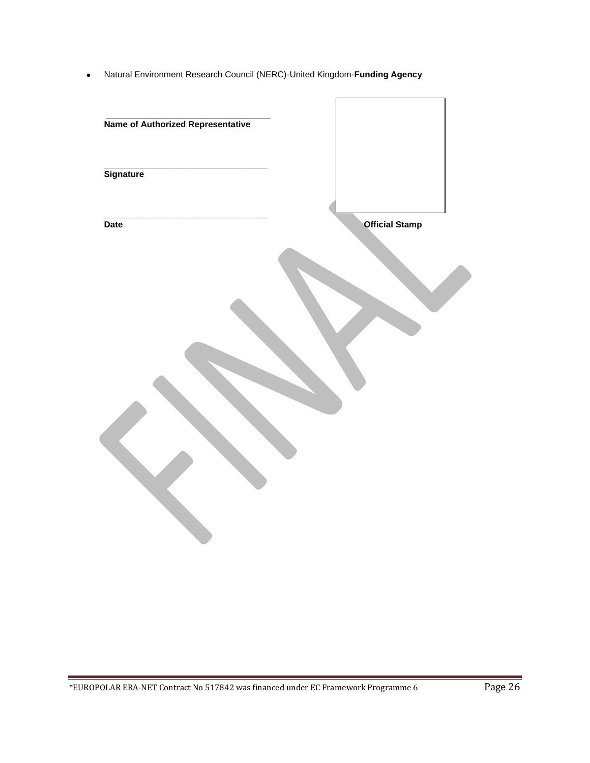Natural Environment Research Council (NERC)-United Kingdom-**Funding Agency**

| Name of Authorized Representative |                       |
|-----------------------------------|-----------------------|
|                                   |                       |
| <b>Signature</b>                  |                       |
|                                   |                       |
| <b>Date</b>                       | <b>Official Stamp</b> |
|                                   |                       |
|                                   |                       |
|                                   |                       |
|                                   |                       |
|                                   |                       |
|                                   |                       |
|                                   |                       |
|                                   |                       |
|                                   |                       |
|                                   |                       |
|                                   |                       |
|                                   |                       |
|                                   |                       |
|                                   |                       |
|                                   |                       |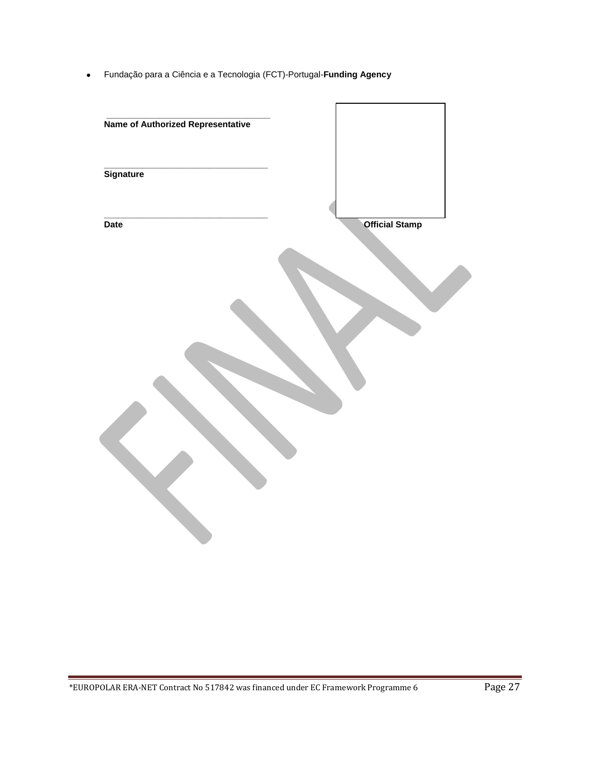Fundação para a Ciência e a Tecnologia (FCT)-Portugal-**Funding Agency**

| Name of Authorized Representative |                       |
|-----------------------------------|-----------------------|
|                                   |                       |
| <b>Signature</b>                  |                       |
|                                   |                       |
|                                   |                       |
| <b>Date</b>                       | <b>Official Stamp</b> |
|                                   |                       |
|                                   |                       |
|                                   |                       |
|                                   |                       |
|                                   |                       |
|                                   |                       |
|                                   |                       |
|                                   |                       |
|                                   |                       |
|                                   |                       |
|                                   |                       |
|                                   |                       |
|                                   |                       |
|                                   |                       |
|                                   |                       |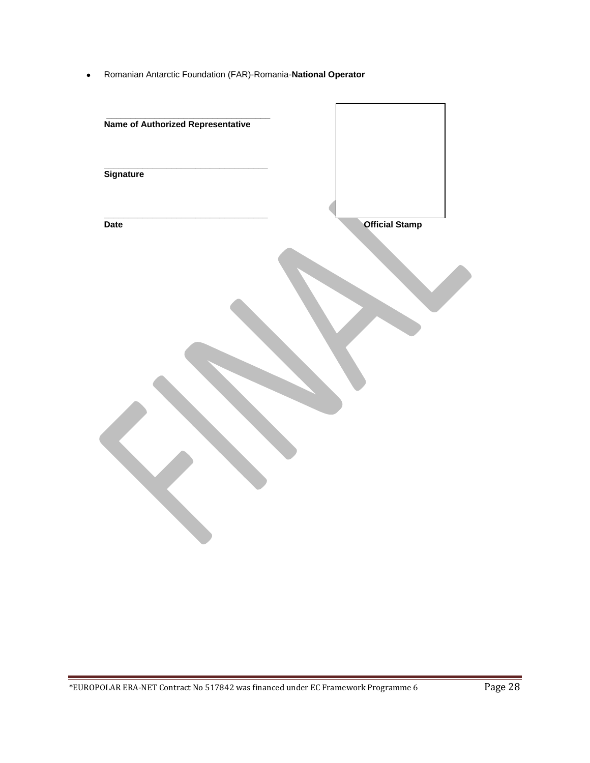Romanian Antarctic Foundation (FAR)-Romania-**National Operator**  $\bullet$ 

| Name of Authorized Representative |                       |
|-----------------------------------|-----------------------|
|                                   |                       |
|                                   |                       |
| <b>Signature</b>                  |                       |
|                                   |                       |
| Date                              | <b>Official Stamp</b> |
|                                   |                       |
|                                   |                       |
|                                   |                       |
|                                   |                       |
|                                   |                       |
|                                   |                       |
|                                   |                       |
|                                   |                       |
|                                   |                       |
|                                   |                       |
|                                   |                       |
|                                   |                       |
|                                   |                       |
|                                   |                       |
|                                   |                       |
|                                   |                       |
|                                   |                       |
|                                   |                       |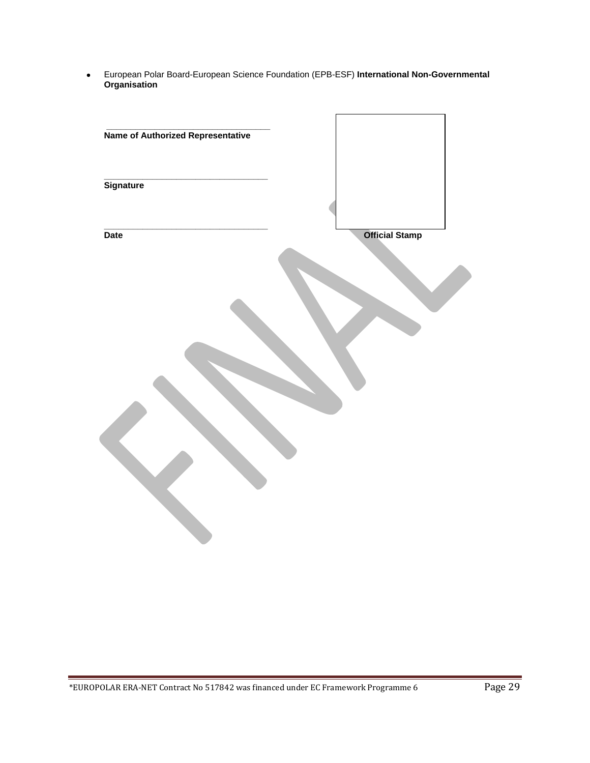$\bullet$ European Polar Board-European Science Foundation (EPB-ESF) **International Non-Governmental Organisation**

| Name of Authorized Representative |                       |  |
|-----------------------------------|-----------------------|--|
|                                   |                       |  |
| <b>Signature</b>                  |                       |  |
|                                   |                       |  |
| <b>Date</b>                       | <b>Official Stamp</b> |  |
|                                   |                       |  |
|                                   |                       |  |
|                                   |                       |  |
|                                   |                       |  |
|                                   |                       |  |
|                                   |                       |  |
|                                   |                       |  |
|                                   |                       |  |
|                                   |                       |  |
|                                   |                       |  |
|                                   |                       |  |
|                                   |                       |  |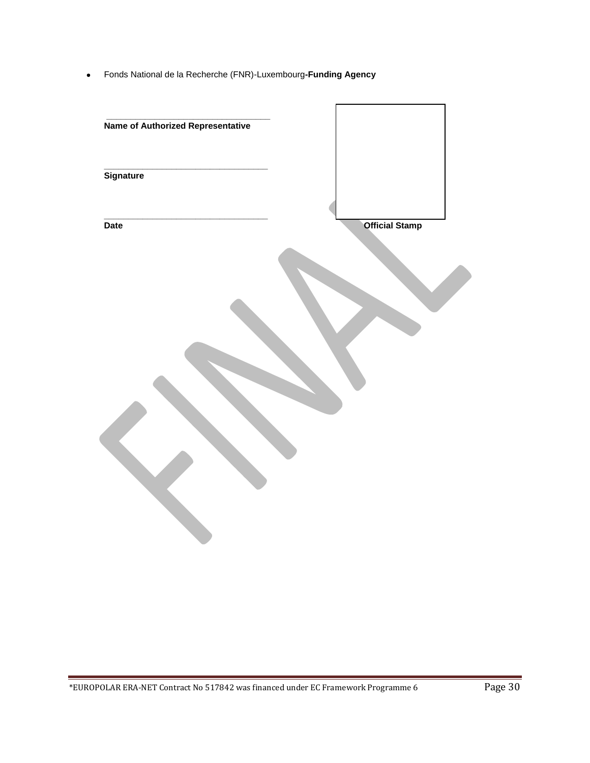Fonds National de la Recherche (FNR)-Luxembourg**-Funding Agency**

| Name of Authorized Representative |                       |
|-----------------------------------|-----------------------|
|                                   |                       |
| Signature                         |                       |
|                                   |                       |
| <b>Date</b>                       | <b>Official Stamp</b> |
|                                   |                       |
|                                   |                       |
|                                   |                       |
|                                   |                       |
|                                   |                       |
|                                   |                       |
|                                   |                       |
|                                   |                       |
|                                   |                       |
|                                   |                       |
|                                   |                       |
|                                   |                       |
|                                   |                       |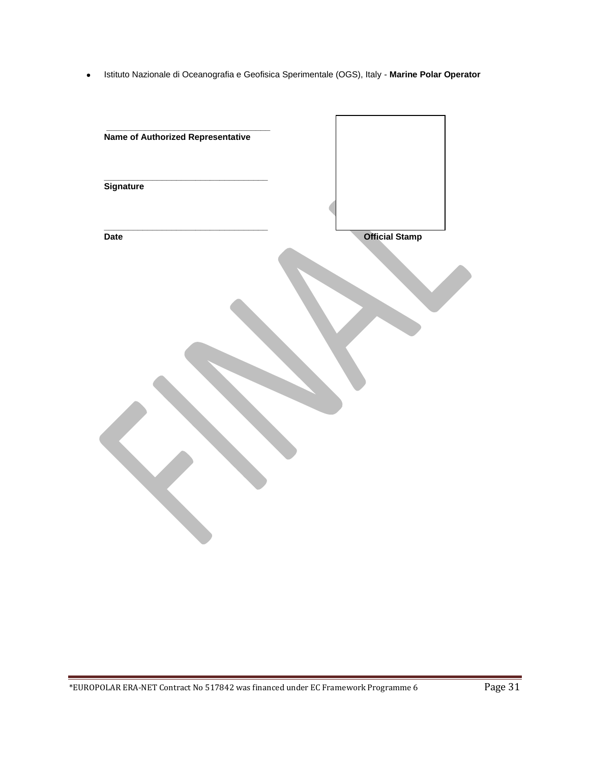Istituto Nazionale di Oceanografia e Geofisica Sperimentale (OGS), Italy - **Marine Polar Operator**

| Name of Authorized Representative |                       |  |
|-----------------------------------|-----------------------|--|
|                                   |                       |  |
| <b>Signature</b>                  |                       |  |
|                                   |                       |  |
| <b>Date</b>                       | <b>Official Stamp</b> |  |
|                                   |                       |  |
|                                   |                       |  |
|                                   |                       |  |
|                                   |                       |  |
|                                   |                       |  |
|                                   |                       |  |
|                                   |                       |  |
|                                   |                       |  |
|                                   |                       |  |
|                                   |                       |  |
|                                   |                       |  |
|                                   |                       |  |
|                                   |                       |  |
|                                   |                       |  |